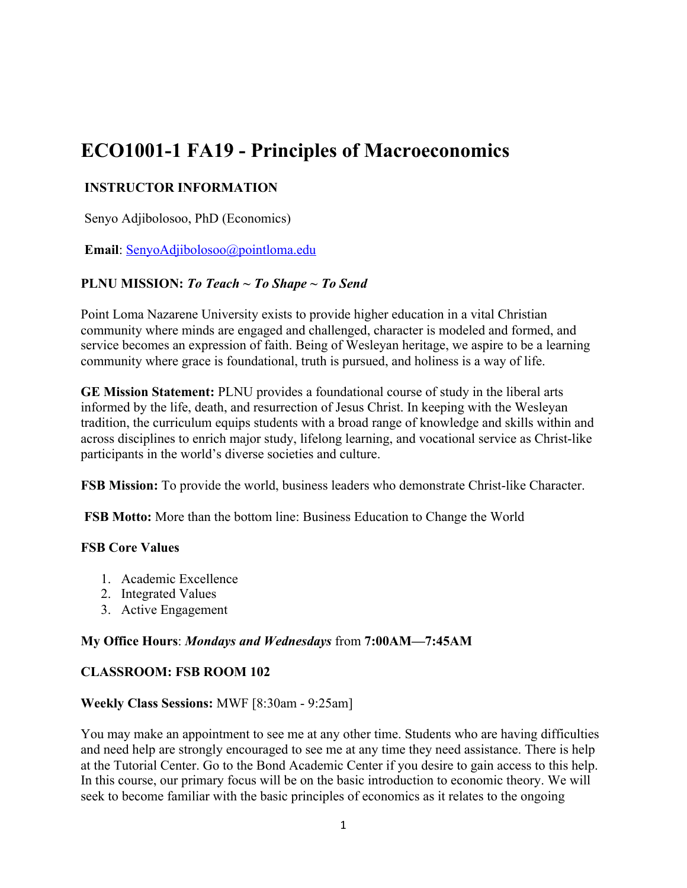# **ECO1001-1 FA19 - Principles of Macroeconomics**

# **INSTRUCTOR INFORMATION**

Senyo Adjibolosoo, PhD (Economics)

**Email**: SenyoAdjibolosoo@pointloma.edu

# **PLNU MISSION:** *To Teach ~ To Shape ~ To Send*

Point Loma Nazarene University exists to provide higher education in a vital Christian community where minds are engaged and challenged, character is modeled and formed, and service becomes an expression of faith. Being of Wesleyan heritage, we aspire to be a learning community where grace is foundational, truth is pursued, and holiness is a way of life.

**GE Mission Statement:** PLNU provides a foundational course of study in the liberal arts informed by the life, death, and resurrection of Jesus Christ. In keeping with the Wesleyan tradition, the curriculum equips students with a broad range of knowledge and skills within and across disciplines to enrich major study, lifelong learning, and vocational service as Christ-like participants in the world's diverse societies and culture.

**FSB Mission:** To provide the world, business leaders who demonstrate Christ-like Character.

**FSB Motto:** More than the bottom line: Business Education to Change the World

### **FSB Core Values**

- 1. Academic Excellence
- 2. Integrated Values
- 3. Active Engagement

# **My Office Hours**: *Mondays and Wednesdays* from **7:00AM—7:45AM**

### **CLASSROOM: FSB ROOM 102**

### **Weekly Class Sessions:** MWF [8:30am - 9:25am]

You may make an appointment to see me at any other time. Students who are having difficulties and need help are strongly encouraged to see me at any time they need assistance. There is help at the Tutorial Center. Go to the Bond Academic Center if you desire to gain access to this help. In this course, our primary focus will be on the basic introduction to economic theory. We will seek to become familiar with the basic principles of economics as it relates to the ongoing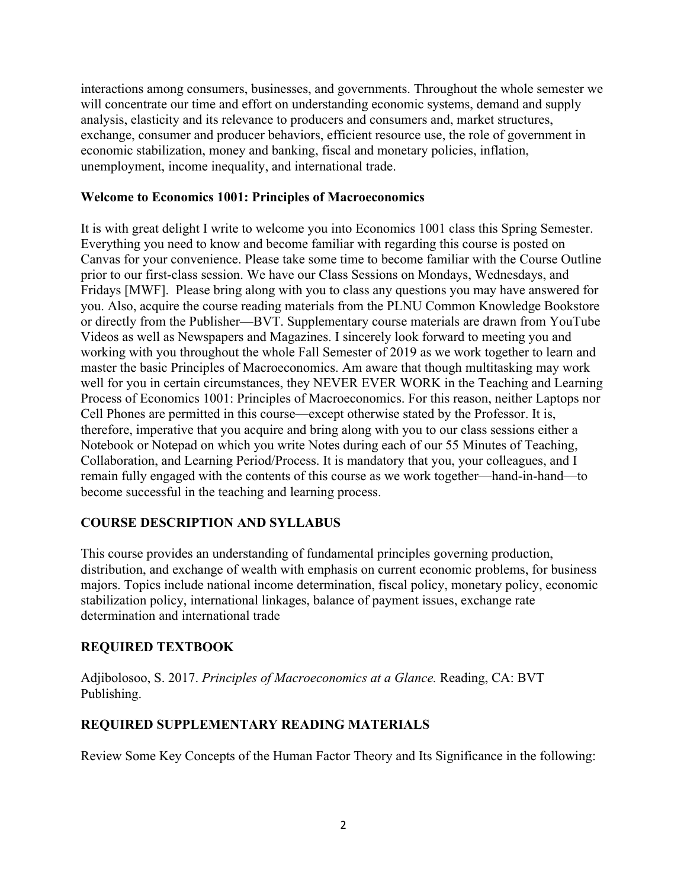interactions among consumers, businesses, and governments. Throughout the whole semester we will concentrate our time and effort on understanding economic systems, demand and supply analysis, elasticity and its relevance to producers and consumers and, market structures, exchange, consumer and producer behaviors, efficient resource use, the role of government in economic stabilization, money and banking, fiscal and monetary policies, inflation, unemployment, income inequality, and international trade.

### **Welcome to Economics 1001: Principles of Macroeconomics**

It is with great delight I write to welcome you into Economics 1001 class this Spring Semester. Everything you need to know and become familiar with regarding this course is posted on Canvas for your convenience. Please take some time to become familiar with the Course Outline prior to our first-class session. We have our Class Sessions on Mondays, Wednesdays, and Fridays [MWF]. Please bring along with you to class any questions you may have answered for you. Also, acquire the course reading materials from the PLNU Common Knowledge Bookstore or directly from the Publisher—BVT. Supplementary course materials are drawn from YouTube Videos as well as Newspapers and Magazines. I sincerely look forward to meeting you and working with you throughout the whole Fall Semester of 2019 as we work together to learn and master the basic Principles of Macroeconomics. Am aware that though multitasking may work well for you in certain circumstances, they NEVER EVER WORK in the Teaching and Learning Process of Economics 1001: Principles of Macroeconomics. For this reason, neither Laptops nor Cell Phones are permitted in this course—except otherwise stated by the Professor. It is, therefore, imperative that you acquire and bring along with you to our class sessions either a Notebook or Notepad on which you write Notes during each of our 55 Minutes of Teaching, Collaboration, and Learning Period/Process. It is mandatory that you, your colleagues, and I remain fully engaged with the contents of this course as we work together—hand-in-hand—to become successful in the teaching and learning process.

# **COURSE DESCRIPTION AND SYLLABUS**

This course provides an understanding of fundamental principles governing production, distribution, and exchange of wealth with emphasis on current economic problems, for business majors. Topics include national income determination, fiscal policy, monetary policy, economic stabilization policy, international linkages, balance of payment issues, exchange rate determination and international trade

# **REQUIRED TEXTBOOK**

Adjibolosoo, S. 2017. *Principles of Macroeconomics at a Glance.* Reading, CA: BVT Publishing.

# **REQUIRED SUPPLEMENTARY READING MATERIALS**

Review Some Key Concepts of the Human Factor Theory and Its Significance in the following: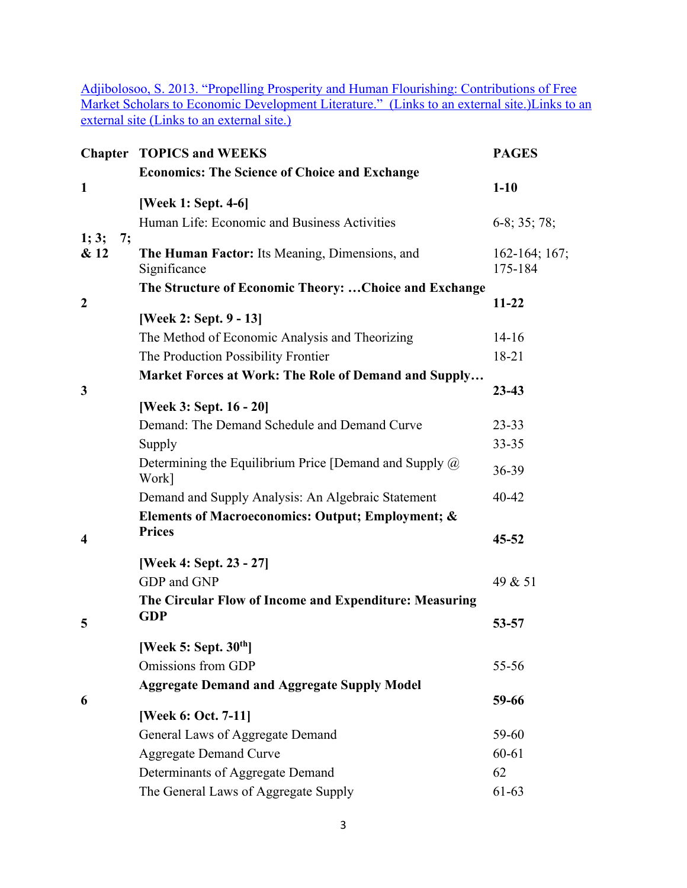Adjibolosoo, S. 2013. "Propelling Prosperity and Human Flourishing: Contributions of Free Market Scholars to Economic Development Literature." (Links to an external site.) Links to an external site (Links to an external site.)

|                  |    | <b>Chapter TOPICS and WEEKS</b>                                          | <b>PAGES</b>               |
|------------------|----|--------------------------------------------------------------------------|----------------------------|
|                  |    | <b>Economics: The Science of Choice and Exchange</b>                     |                            |
| $\mathbf{1}$     |    |                                                                          | $1-10$                     |
|                  |    | [Week 1: Sept. 4-6]                                                      |                            |
|                  |    | Human Life: Economic and Business Activities                             | $6-8$ ; 35; 78;            |
| 1; 3;<br>& 12    | 7; | The Human Factor: Its Meaning, Dimensions, and<br>Significance           | $162-164; 167;$<br>175-184 |
|                  |    | The Structure of Economic Theory:  Choice and Exchange                   |                            |
| $\boldsymbol{2}$ |    |                                                                          | $11 - 22$                  |
|                  |    | [Week 2: Sept. 9 - 13]<br>The Method of Economic Analysis and Theorizing | $14-16$                    |
|                  |    | The Production Possibility Frontier                                      | 18-21                      |
|                  |    |                                                                          |                            |
| $\mathbf{3}$     |    | Market Forces at Work: The Role of Demand and Supply                     | $23 - 43$                  |
|                  |    | [Week 3: Sept. 16 - 20]                                                  |                            |
|                  |    | Demand: The Demand Schedule and Demand Curve                             | $23 - 33$                  |
|                  |    | Supply                                                                   | $33 - 35$                  |
|                  |    | Determining the Equilibrium Price [Demand and Supply $\omega$<br>Work]   | 36-39                      |
|                  |    | Demand and Supply Analysis: An Algebraic Statement                       | 40-42                      |
|                  |    | Elements of Macroeconomics: Output; Employment; &                        |                            |
| $\boldsymbol{4}$ |    | <b>Prices</b>                                                            | $45 - 52$                  |
|                  |    | [Week 4: Sept. 23 - 27]                                                  |                            |
|                  |    | GDP and GNP                                                              | 49 & 51                    |
|                  |    | The Circular Flow of Income and Expenditure: Measuring                   |                            |
|                  |    | <b>GDP</b>                                                               |                            |
| 5                |    |                                                                          | 53-57                      |
|                  |    | [Week 5: Sept. $30th$ ]                                                  |                            |
|                  |    | Omissions from GDP                                                       | 55-56                      |
|                  |    | <b>Aggregate Demand and Aggregate Supply Model</b>                       |                            |
| 6                |    |                                                                          | 59-66                      |
|                  |    | [Week 6: Oct. 7-11]                                                      | 59-60                      |
|                  |    | General Laws of Aggregate Demand<br><b>Aggregate Demand Curve</b>        | 60-61                      |
|                  |    | Determinants of Aggregate Demand                                         | 62                         |
|                  |    | The General Laws of Aggregate Supply                                     | 61-63                      |
|                  |    |                                                                          |                            |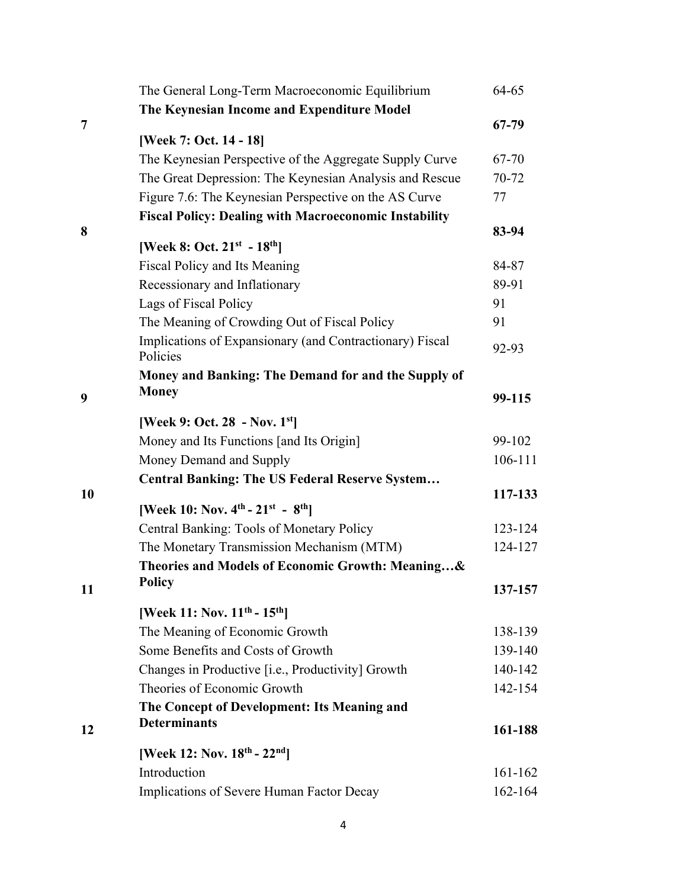|    | The General Long-Term Macroeconomic Equilibrium              | 64-65       |
|----|--------------------------------------------------------------|-------------|
|    | The Keynesian Income and Expenditure Model                   |             |
| 7  |                                                              | 67-79       |
|    | [Week 7: Oct. 14 - 18]                                       |             |
|    | The Keynesian Perspective of the Aggregate Supply Curve      | 67-70       |
|    | The Great Depression: The Keynesian Analysis and Rescue      | 70-72       |
|    | Figure 7.6: The Keynesian Perspective on the AS Curve        | 77          |
|    | <b>Fiscal Policy: Dealing with Macroeconomic Instability</b> |             |
| 8  | [Week 8: Oct. $21^{st} - 18^{th}$ ]                          | 83-94       |
|    | Fiscal Policy and Its Meaning                                | 84-87       |
|    | Recessionary and Inflationary                                | 89-91       |
|    | Lags of Fiscal Policy                                        | 91          |
|    | The Meaning of Crowding Out of Fiscal Policy                 | 91          |
|    | Implications of Expansionary (and Contractionary) Fiscal     |             |
|    | Policies                                                     | 92-93       |
|    | Money and Banking: The Demand for and the Supply of          |             |
| 9  | <b>Money</b>                                                 | 99-115      |
|    |                                                              |             |
|    | [Week 9: Oct. 28 - Nov. $1st$ ]                              |             |
|    | Money and Its Functions [and Its Origin]                     | 99-102      |
|    | Money Demand and Supply                                      | 106-111     |
|    | <b>Central Banking: The US Federal Reserve System</b>        |             |
| 10 | [Week 10: Nov. $4^{th}$ - $21^{st}$ - $8^{th}$ ]             | 117-133     |
|    | Central Banking: Tools of Monetary Policy                    | 123-124     |
|    | The Monetary Transmission Mechanism (MTM)                    | 124-127     |
|    | Theories and Models of Economic Growth: Meaning&             |             |
|    | Policy                                                       |             |
| 11 |                                                              | 137-157     |
|    | [Week 11: Nov. 11 <sup>th</sup> - 15 <sup>th</sup> ]         |             |
|    | The Meaning of Economic Growth                               | 138-139     |
|    | Some Benefits and Costs of Growth                            | 139-140     |
|    | Changes in Productive [i.e., Productivity] Growth            | 140-142     |
|    | Theories of Economic Growth                                  | 142-154     |
|    | The Concept of Development: Its Meaning and                  |             |
| 12 | <b>Determinants</b>                                          | 161-188     |
|    | [Week 12: Nov. 18th - 22nd]                                  |             |
|    | Introduction                                                 | $161 - 162$ |
|    | Implications of Severe Human Factor Decay                    | 162-164     |
|    |                                                              |             |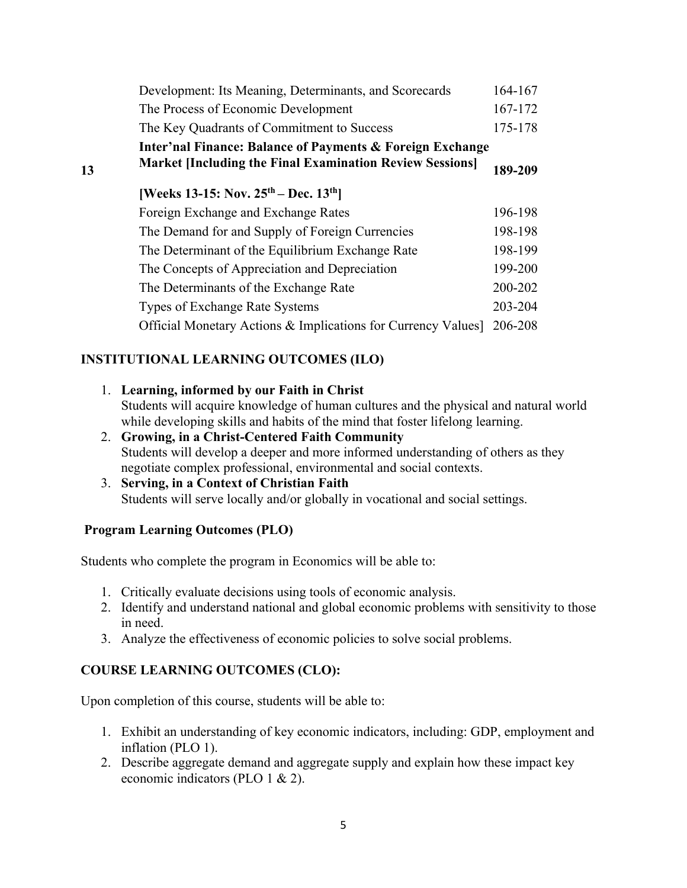|    | Development: Its Meaning, Determinants, and Scorecards                                                                       | 164-167 |  |
|----|------------------------------------------------------------------------------------------------------------------------------|---------|--|
|    | The Process of Economic Development                                                                                          | 167-172 |  |
|    | The Key Quadrants of Commitment to Success                                                                                   | 175-178 |  |
| 13 | Inter'nal Finance: Balance of Payments & Foreign Exchange<br><b>Market [Including the Final Examination Review Sessions]</b> |         |  |
|    | [Weeks 13-15: Nov. $25^{th}$ – Dec. $13^{th}$ ]                                                                              |         |  |
|    | Foreign Exchange and Exchange Rates                                                                                          | 196-198 |  |
|    | The Demand for and Supply of Foreign Currencies                                                                              | 198-198 |  |
|    | The Determinant of the Equilibrium Exchange Rate                                                                             | 198-199 |  |
|    | The Concepts of Appreciation and Depreciation                                                                                | 199-200 |  |
|    | The Determinants of the Exchange Rate                                                                                        | 200-202 |  |
|    | Types of Exchange Rate Systems                                                                                               | 203-204 |  |
|    | Official Monetary Actions & Implications for Currency Values]                                                                | 206-208 |  |
|    |                                                                                                                              |         |  |

# **INSTITUTIONAL LEARNING OUTCOMES (ILO)**

- 1. **Learning, informed by our Faith in Christ** Students will acquire knowledge of human cultures and the physical and natural world while developing skills and habits of the mind that foster lifelong learning. 2. **Growing, in a Christ-Centered Faith Community**
- Students will develop a deeper and more informed understanding of others as they negotiate complex professional, environmental and social contexts.
- 3. **Serving, in a Context of Christian Faith** Students will serve locally and/or globally in vocational and social settings.

### **Program Learning Outcomes (PLO)**

Students who complete the program in Economics will be able to:

- 1. Critically evaluate decisions using tools of economic analysis.
- 2. Identify and understand national and global economic problems with sensitivity to those in need.
- 3. Analyze the effectiveness of economic policies to solve social problems.

### **COURSE LEARNING OUTCOMES (CLO):**

Upon completion of this course, students will be able to:

- 1. Exhibit an understanding of key economic indicators, including: GDP, employment and inflation (PLO 1).
- 2. Describe aggregate demand and aggregate supply and explain how these impact key economic indicators (PLO 1 & 2).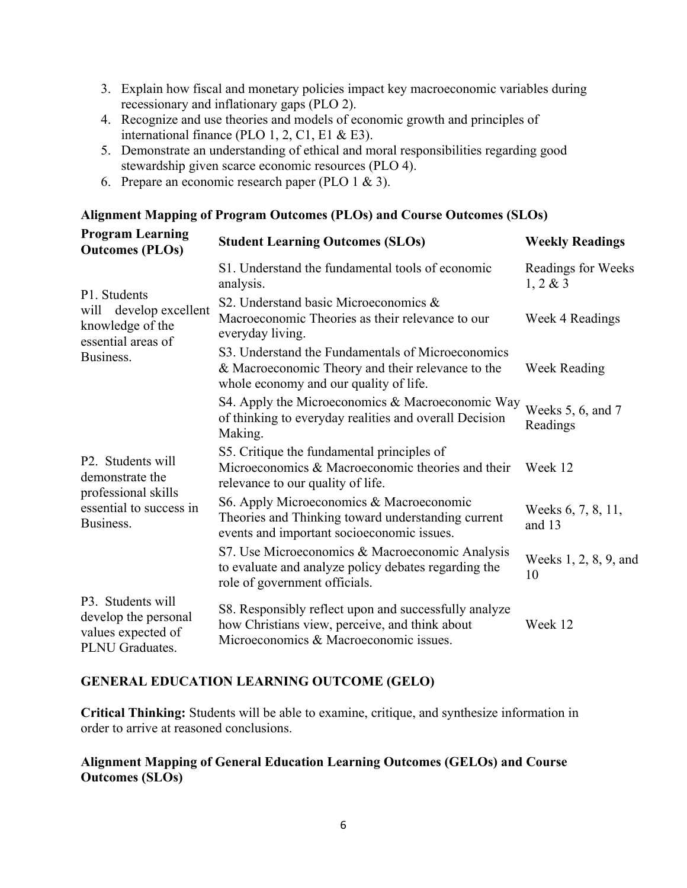- 3. Explain how fiscal and monetary policies impact key macroeconomic variables during recessionary and inflationary gaps (PLO 2).
- 4. Recognize and use theories and models of economic growth and principles of international finance (PLO 1, 2, C1, E1 & E3).
- 5. Demonstrate an understanding of ethical and moral responsibilities regarding good stewardship given scarce economic resources (PLO 4).
- 6. Prepare an economic research paper (PLO  $1 \& 3$ ).

#### **Alignment Mapping of Program Outcomes (PLOs) and Course Outcomes (SLOs)**

| <b>Program Learning</b><br><b>Outcomes (PLOs)</b>                                   | <b>Student Learning Outcomes (SLOs)</b>                                                                                                           | <b>Weekly Readings</b>             |
|-------------------------------------------------------------------------------------|---------------------------------------------------------------------------------------------------------------------------------------------------|------------------------------------|
|                                                                                     | S1. Understand the fundamental tools of economic<br>analysis.                                                                                     | Readings for Weeks<br>$1, 2 \& 3$  |
| P1. Students<br>develop excellent<br>will<br>knowledge of the<br>essential areas of | S2. Understand basic Microeconomics &<br>Macroeconomic Theories as their relevance to our<br>everyday living.                                     | Week 4 Readings                    |
| Business.                                                                           | S3. Understand the Fundamentals of Microeconomics<br>& Macroeconomic Theory and their relevance to the<br>whole economy and our quality of life.  | Week Reading                       |
|                                                                                     | S4. Apply the Microeconomics & Macroeconomic Way<br>of thinking to everyday realities and overall Decision<br>Making.                             | Weeks $5, 6$ , and $7$<br>Readings |
| P <sub>2</sub> . Students will<br>demonstrate the                                   | S5. Critique the fundamental principles of<br>Microeconomics & Macroeconomic theories and their<br>relevance to our quality of life.              | Week 12                            |
| professional skills<br>essential to success in<br>Business.                         | S6. Apply Microeconomics & Macroeconomic<br>Theories and Thinking toward understanding current<br>events and important socioeconomic issues.      | Weeks 6, 7, 8, 11,<br>and 13       |
|                                                                                     | S7. Use Microeconomics & Macroeconomic Analysis<br>to evaluate and analyze policy debates regarding the<br>role of government officials.          | Weeks 1, 2, 8, 9, and<br>10        |
| P3. Students will<br>develop the personal<br>values expected of<br>PLNU Graduates.  | S8. Responsibly reflect upon and successfully analyze<br>how Christians view, perceive, and think about<br>Microeconomics & Macroeconomic issues. | Week 12                            |

### **GENERAL EDUCATION LEARNING OUTCOME (GELO)**

**Critical Thinking:** Students will be able to examine, critique, and synthesize information in order to arrive at reasoned conclusions.

### **Alignment Mapping of General Education Learning Outcomes (GELOs) and Course Outcomes (SLOs)**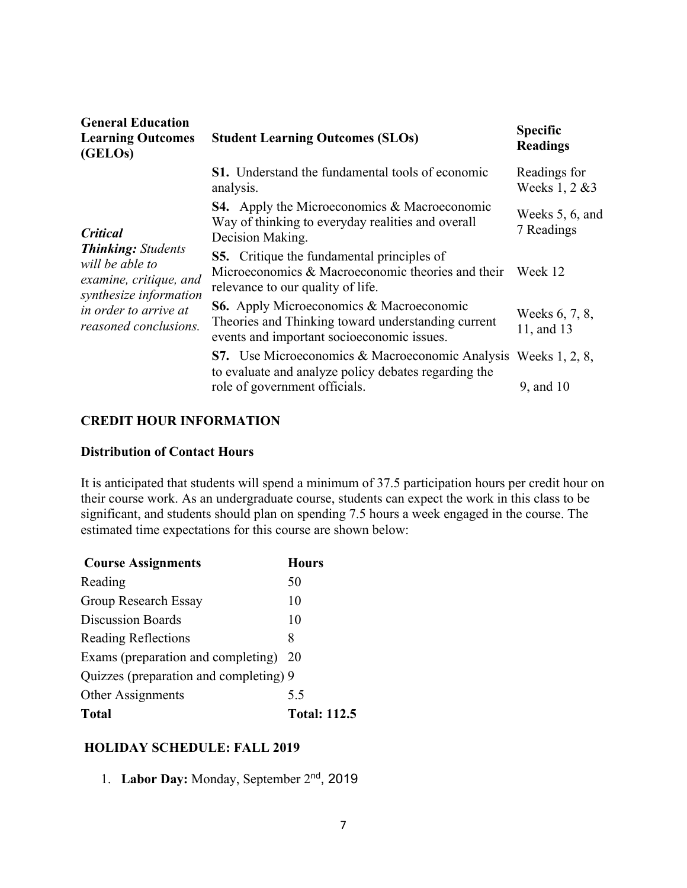| <b>General Education</b><br><b>Learning Outcomes</b><br>(GELOs)                                  | <b>Student Learning Outcomes (SLOs)</b>                                                                                                             | <b>Specific</b><br><b>Readings</b> |
|--------------------------------------------------------------------------------------------------|-----------------------------------------------------------------------------------------------------------------------------------------------------|------------------------------------|
|                                                                                                  | <b>S1.</b> Understand the fundamental tools of economic<br>analysis.                                                                                | Readings for<br>Weeks 1, 2 & 3     |
| <b>Critical</b>                                                                                  | <b>S4.</b> Apply the Microeconomics & Macroeconomic<br>Way of thinking to everyday realities and overall<br>Decision Making.                        | Weeks 5, 6, and<br>7 Readings      |
| <b>Thinking:</b> Students<br>will be able to<br>examine, critique, and<br>synthesize information | <b>S5.</b> Critique the fundamental principles of<br>Microeconomics & Macroeconomic theories and their<br>relevance to our quality of life.         | Week 12                            |
| in order to arrive at<br>reasoned conclusions.                                                   | <b>S6.</b> Apply Microeconomics & Macroeconomic<br>Theories and Thinking toward understanding current<br>events and important socioeconomic issues. | Weeks 6, 7, 8,<br>11, and 13       |
|                                                                                                  | <b>S7.</b> Use Microeconomics & Macroeconomic Analysis Weeks 1, 2, 8,<br>to evaluate and analyze policy debates regarding the                       |                                    |
|                                                                                                  | role of government officials.                                                                                                                       | 9, and 10                          |

#### **CREDIT HOUR INFORMATION**

### **Distribution of Contact Hours**

It is anticipated that students will spend a minimum of 37.5 participation hours per credit hour on their course work. As an undergraduate course, students can expect the work in this class to be significant, and students should plan on spending 7.5 hours a week engaged in the course. The estimated time expectations for this course are shown below:

| <b>Course Assignments</b>              | <b>Hours</b>        |
|----------------------------------------|---------------------|
| Reading                                | 50                  |
| Group Research Essay                   | 10                  |
| <b>Discussion Boards</b>               | 10                  |
| <b>Reading Reflections</b>             | 8                   |
| Exams (preparation and completing)     | <b>20</b>           |
| Quizzes (preparation and completing) 9 |                     |
| Other Assignments                      | 5.5                 |
| Total                                  | <b>Total: 112.5</b> |

### **HOLIDAY SCHEDULE: FALL 2019**

1. **Labor Day:** Monday, September 2nd, 2019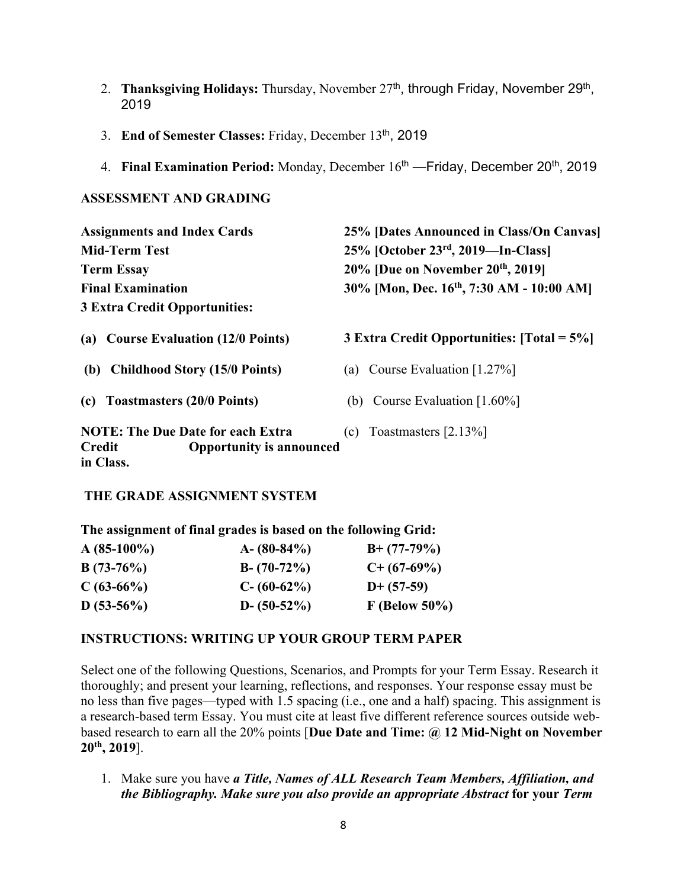- 2. **Thanksgiving Holidays:** Thursday, November 27<sup>th</sup>, through Friday, November 29<sup>th</sup>, 2019
- 3. **End of Semester Classes:** Friday, December 13th, 2019
- 4. **Final Examination Period:** Monday, December 16<sup>th</sup> Friday, December 20<sup>th</sup>, 2019

### **ASSESSMENT AND GRADING**

| <b>Assignments and Index Cards</b>                                                                 | 25% [Dates Announced in Class/On Canvas]              |  |  |
|----------------------------------------------------------------------------------------------------|-------------------------------------------------------|--|--|
| <b>Mid-Term Test</b>                                                                               | 25% [October 23rd, 2019—In-Class]                     |  |  |
| <b>Term Essay</b>                                                                                  | 20% [Due on November 20th, 2019]                      |  |  |
| <b>Final Examination</b>                                                                           | 30% [Mon, Dec. 16 <sup>th</sup> , 7:30 AM - 10:00 AM] |  |  |
| <b>3 Extra Credit Opportunities:</b>                                                               |                                                       |  |  |
| <b>Course Evaluation (12/0 Points)</b><br>(a)                                                      | 3 Extra Credit Opportunities: $[Total = 5\%]$         |  |  |
| <b>Childhood Story (15/0 Points)</b><br>(b)                                                        | Course Evaluation [1.27%]<br>(a)                      |  |  |
| <b>Toastmasters (20/0 Points)</b><br>(c)                                                           | (b) Course Evaluation $[1.60\%]$                      |  |  |
| <b>NOTE: The Due Date for each Extra</b><br><b>Opportunity is announced</b><br>Credit<br>in Class. | Toastmasters [2.13%]<br>(c)                           |  |  |

# **THE GRADE ASSIGNMENT SYSTEM**

**The assignment of final grades is based on the following Grid:**

| $A(85-100\%)$ | $A - (80-84\%)$ | $B+ (77-79%)$   |
|---------------|-----------------|-----------------|
| $B(73-76%)$   | $B - (70-72%)$  | $C+$ (67-69%)   |
| $C(63-66%)$   | $C - (60-62\%)$ | $D+ (57-59)$    |
| $D(53-56%)$   | $D - (50-52\%)$ | $F$ (Below 50%) |

# **INSTRUCTIONS: WRITING UP YOUR GROUP TERM PAPER**

Select one of the following Questions, Scenarios, and Prompts for your Term Essay. Research it thoroughly; and present your learning, reflections, and responses. Your response essay must be no less than five pages—typed with 1.5 spacing (i.e., one and a half) spacing. This assignment is a research-based term Essay. You must cite at least five different reference sources outside webbased research to earn all the 20% points [**Due Date and Time: @ 12 Mid-Night on November 20th, 2019**].

1. Make sure you have *a Title, Names of ALL Research Team Members, Affiliation, and the Bibliography. Make sure you also provide an appropriate Abstract* **for your** *Term*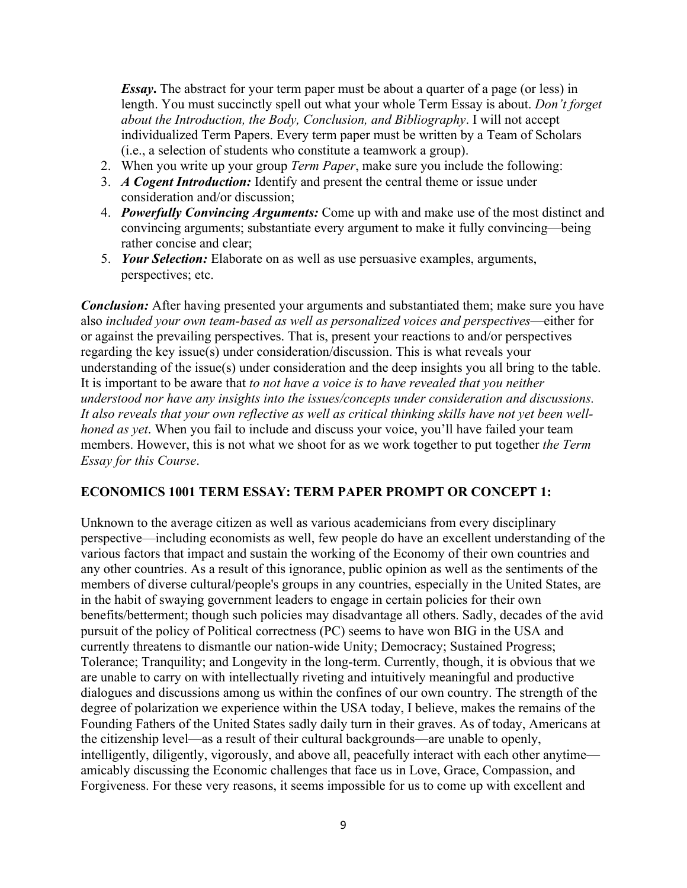*Essay*. The abstract for your term paper must be about a quarter of a page (or less) in length. You must succinctly spell out what your whole Term Essay is about. *Don't forget about the Introduction, the Body, Conclusion, and Bibliography*. I will not accept individualized Term Papers. Every term paper must be written by a Team of Scholars (i.e., a selection of students who constitute a teamwork a group).

- 2. When you write up your group *Term Paper*, make sure you include the following:
- 3. *A Cogent Introduction:* Identify and present the central theme or issue under consideration and/or discussion;
- 4. *Powerfully Convincing Arguments:* Come up with and make use of the most distinct and convincing arguments; substantiate every argument to make it fully convincing—being rather concise and clear;
- 5. *Your Selection:* Elaborate on as well as use persuasive examples, arguments, perspectives; etc.

*Conclusion:* After having presented your arguments and substantiated them; make sure you have also *included your own team-based as well as personalized voices and perspectives*—either for or against the prevailing perspectives. That is, present your reactions to and/or perspectives regarding the key issue(s) under consideration/discussion. This is what reveals your understanding of the issue(s) under consideration and the deep insights you all bring to the table. It is important to be aware that *to not have a voice is to have revealed that you neither understood nor have any insights into the issues/concepts under consideration and discussions. It also reveals that your own reflective as well as critical thinking skills have not yet been wellhoned as yet*. When you fail to include and discuss your voice, you'll have failed your team members. However, this is not what we shoot for as we work together to put together *the Term Essay for this Course*.

### **ECONOMICS 1001 TERM ESSAY: TERM PAPER PROMPT OR CONCEPT 1:**

Unknown to the average citizen as well as various academicians from every disciplinary perspective—including economists as well, few people do have an excellent understanding of the various factors that impact and sustain the working of the Economy of their own countries and any other countries. As a result of this ignorance, public opinion as well as the sentiments of the members of diverse cultural/people's groups in any countries, especially in the United States, are in the habit of swaying government leaders to engage in certain policies for their own benefits/betterment; though such policies may disadvantage all others. Sadly, decades of the avid pursuit of the policy of Political correctness (PC) seems to have won BIG in the USA and currently threatens to dismantle our nation-wide Unity; Democracy; Sustained Progress; Tolerance; Tranquility; and Longevity in the long-term. Currently, though, it is obvious that we are unable to carry on with intellectually riveting and intuitively meaningful and productive dialogues and discussions among us within the confines of our own country. The strength of the degree of polarization we experience within the USA today, I believe, makes the remains of the Founding Fathers of the United States sadly daily turn in their graves. As of today, Americans at the citizenship level—as a result of their cultural backgrounds—are unable to openly, intelligently, diligently, vigorously, and above all, peacefully interact with each other anytime amicably discussing the Economic challenges that face us in Love, Grace, Compassion, and Forgiveness. For these very reasons, it seems impossible for us to come up with excellent and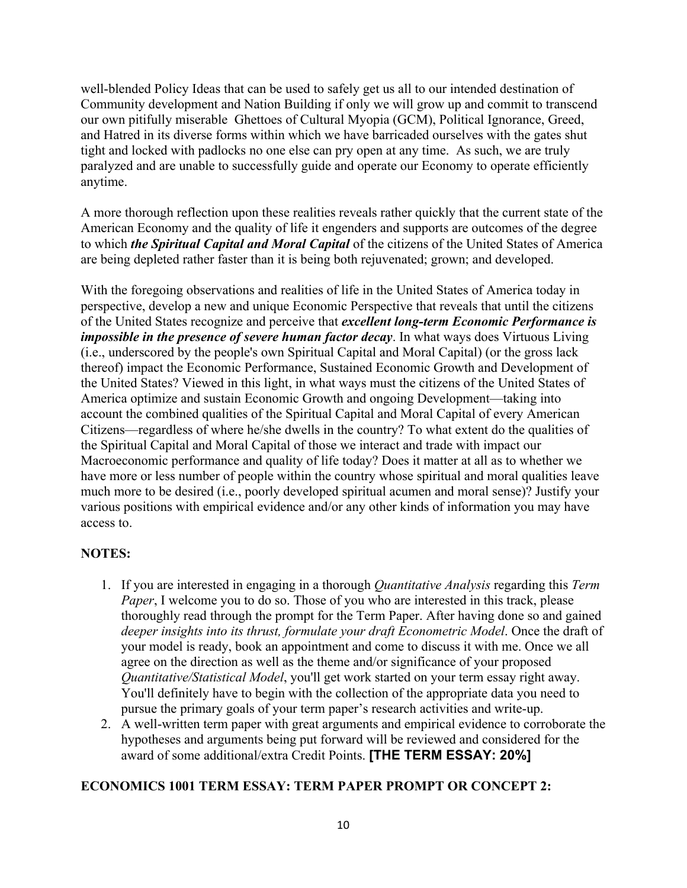well-blended Policy Ideas that can be used to safely get us all to our intended destination of Community development and Nation Building if only we will grow up and commit to transcend our own pitifully miserable Ghettoes of Cultural Myopia (GCM), Political Ignorance, Greed, and Hatred in its diverse forms within which we have barricaded ourselves with the gates shut tight and locked with padlocks no one else can pry open at any time. As such, we are truly paralyzed and are unable to successfully guide and operate our Economy to operate efficiently anytime.

A more thorough reflection upon these realities reveals rather quickly that the current state of the American Economy and the quality of life it engenders and supports are outcomes of the degree to which *the Spiritual Capital and Moral Capital* of the citizens of the United States of America are being depleted rather faster than it is being both rejuvenated; grown; and developed.

With the foregoing observations and realities of life in the United States of America today in perspective, develop a new and unique Economic Perspective that reveals that until the citizens of the United States recognize and perceive that *excellent long-term Economic Performance is impossible in the presence of severe human factor decay*. In what ways does Virtuous Living (i.e., underscored by the people's own Spiritual Capital and Moral Capital) (or the gross lack thereof) impact the Economic Performance, Sustained Economic Growth and Development of the United States? Viewed in this light, in what ways must the citizens of the United States of America optimize and sustain Economic Growth and ongoing Development—taking into account the combined qualities of the Spiritual Capital and Moral Capital of every American Citizens—regardless of where he/she dwells in the country? To what extent do the qualities of the Spiritual Capital and Moral Capital of those we interact and trade with impact our Macroeconomic performance and quality of life today? Does it matter at all as to whether we have more or less number of people within the country whose spiritual and moral qualities leave much more to be desired (i.e., poorly developed spiritual acumen and moral sense)? Justify your various positions with empirical evidence and/or any other kinds of information you may have access to.

# **NOTES:**

- 1. If you are interested in engaging in a thorough *Quantitative Analysis* regarding this *Term Paper*, I welcome you to do so. Those of you who are interested in this track, please thoroughly read through the prompt for the Term Paper. After having done so and gained *deeper insights into its thrust, formulate your draft Econometric Model*. Once the draft of your model is ready, book an appointment and come to discuss it with me. Once we all agree on the direction as well as the theme and/or significance of your proposed *Quantitative/Statistical Model*, you'll get work started on your term essay right away. You'll definitely have to begin with the collection of the appropriate data you need to pursue the primary goals of your term paper's research activities and write-up.
- 2. A well-written term paper with great arguments and empirical evidence to corroborate the hypotheses and arguments being put forward will be reviewed and considered for the award of some additional/extra Credit Points. **[THE TERM ESSAY: 20%]**

# **ECONOMICS 1001 TERM ESSAY: TERM PAPER PROMPT OR CONCEPT 2:**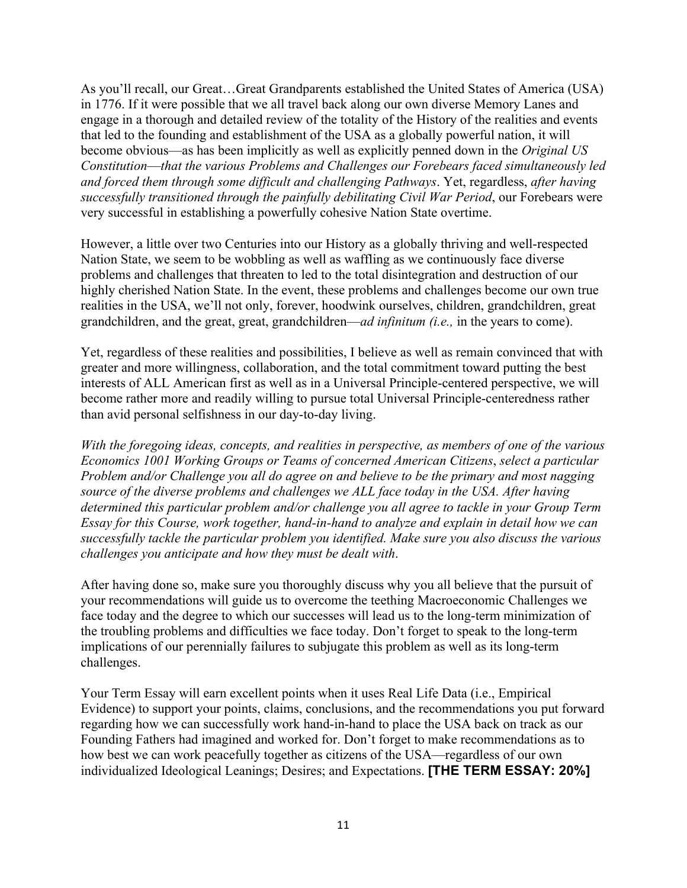As you'll recall, our Great…Great Grandparents established the United States of America (USA) in 1776. If it were possible that we all travel back along our own diverse Memory Lanes and engage in a thorough and detailed review of the totality of the History of the realities and events that led to the founding and establishment of the USA as a globally powerful nation, it will become obvious—as has been implicitly as well as explicitly penned down in the *Original US Constitution*—*that the various Problems and Challenges our Forebears faced simultaneously led and forced them through some difficult and challenging Pathways*. Yet, regardless, *after having successfully transitioned through the painfully debilitating Civil War Period*, our Forebears were very successful in establishing a powerfully cohesive Nation State overtime.

However, a little over two Centuries into our History as a globally thriving and well-respected Nation State, we seem to be wobbling as well as waffling as we continuously face diverse problems and challenges that threaten to led to the total disintegration and destruction of our highly cherished Nation State. In the event, these problems and challenges become our own true realities in the USA, we'll not only, forever, hoodwink ourselves, children, grandchildren, great grandchildren, and the great, great, grandchildren—*ad infinitum (i.e.,* in the years to come).

Yet, regardless of these realities and possibilities, I believe as well as remain convinced that with greater and more willingness, collaboration, and the total commitment toward putting the best interests of ALL American first as well as in a Universal Principle-centered perspective, we will become rather more and readily willing to pursue total Universal Principle-centeredness rather than avid personal selfishness in our day-to-day living.

*With the foregoing ideas, concepts, and realities in perspective, as members of one of the various Economics 1001 Working Groups or Teams of concerned American Citizens*, *select a particular Problem and/or Challenge you all do agree on and believe to be the primary and most nagging source of the diverse problems and challenges we ALL face today in the USA. After having determined this particular problem and/or challenge you all agree to tackle in your Group Term Essay for this Course, work together, hand-in-hand to analyze and explain in detail how we can successfully tackle the particular problem you identified. Make sure you also discuss the various challenges you anticipate and how they must be dealt with*.

After having done so, make sure you thoroughly discuss why you all believe that the pursuit of your recommendations will guide us to overcome the teething Macroeconomic Challenges we face today and the degree to which our successes will lead us to the long-term minimization of the troubling problems and difficulties we face today. Don't forget to speak to the long-term implications of our perennially failures to subjugate this problem as well as its long-term challenges.

Your Term Essay will earn excellent points when it uses Real Life Data (i.e., Empirical Evidence) to support your points, claims, conclusions, and the recommendations you put forward regarding how we can successfully work hand-in-hand to place the USA back on track as our Founding Fathers had imagined and worked for. Don't forget to make recommendations as to how best we can work peacefully together as citizens of the USA—regardless of our own individualized Ideological Leanings; Desires; and Expectations. **[THE TERM ESSAY: 20%]**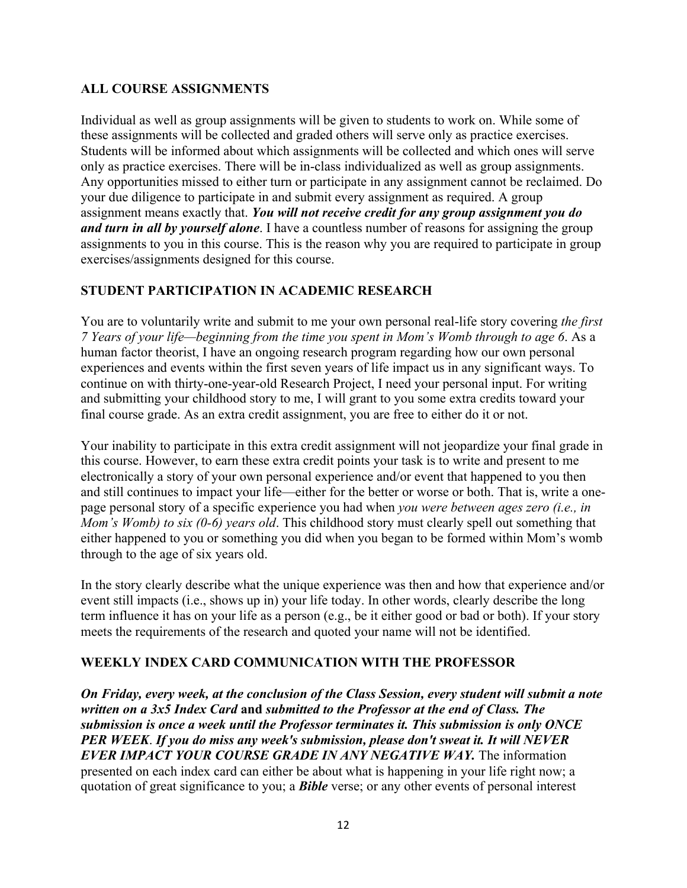# **ALL COURSE ASSIGNMENTS**

Individual as well as group assignments will be given to students to work on. While some of these assignments will be collected and graded others will serve only as practice exercises. Students will be informed about which assignments will be collected and which ones will serve only as practice exercises. There will be in-class individualized as well as group assignments. Any opportunities missed to either turn or participate in any assignment cannot be reclaimed. Do your due diligence to participate in and submit every assignment as required. A group assignment means exactly that. *You will not receive credit for any group assignment you do and turn in all by yourself alone*. I have a countless number of reasons for assigning the group assignments to you in this course. This is the reason why you are required to participate in group exercises/assignments designed for this course.

# **STUDENT PARTICIPATION IN ACADEMIC RESEARCH**

You are to voluntarily write and submit to me your own personal real-life story covering *the first 7 Years of your life—beginning from the time you spent in Mom's Womb through to age 6*. As a human factor theorist, I have an ongoing research program regarding how our own personal experiences and events within the first seven years of life impact us in any significant ways. To continue on with thirty-one-year-old Research Project, I need your personal input. For writing and submitting your childhood story to me, I will grant to you some extra credits toward your final course grade. As an extra credit assignment, you are free to either do it or not.

Your inability to participate in this extra credit assignment will not jeopardize your final grade in this course. However, to earn these extra credit points your task is to write and present to me electronically a story of your own personal experience and/or event that happened to you then and still continues to impact your life—either for the better or worse or both. That is, write a onepage personal story of a specific experience you had when *you were between ages zero (i.e., in Mom's Womb) to six (0-6) years old*. This childhood story must clearly spell out something that either happened to you or something you did when you began to be formed within Mom's womb through to the age of six years old.

In the story clearly describe what the unique experience was then and how that experience and/or event still impacts (i.e., shows up in) your life today. In other words, clearly describe the long term influence it has on your life as a person (e.g., be it either good or bad or both). If your story meets the requirements of the research and quoted your name will not be identified.

# **WEEKLY INDEX CARD COMMUNICATION WITH THE PROFESSOR**

*On Friday, every week, at the conclusion of the Class Session, every student will submit a note written on a 3x5 Index Card* **and** *submitted to the Professor at the end of Class. The submission is once a week until the Professor terminates it. This submission is only ONCE PER WEEK*. *If you do miss any week's submission, please don't sweat it. It will NEVER EVER IMPACT YOUR COURSE GRADE IN ANY NEGATIVE WAY.* The information presented on each index card can either be about what is happening in your life right now; a quotation of great significance to you; a *Bible* verse; or any other events of personal interest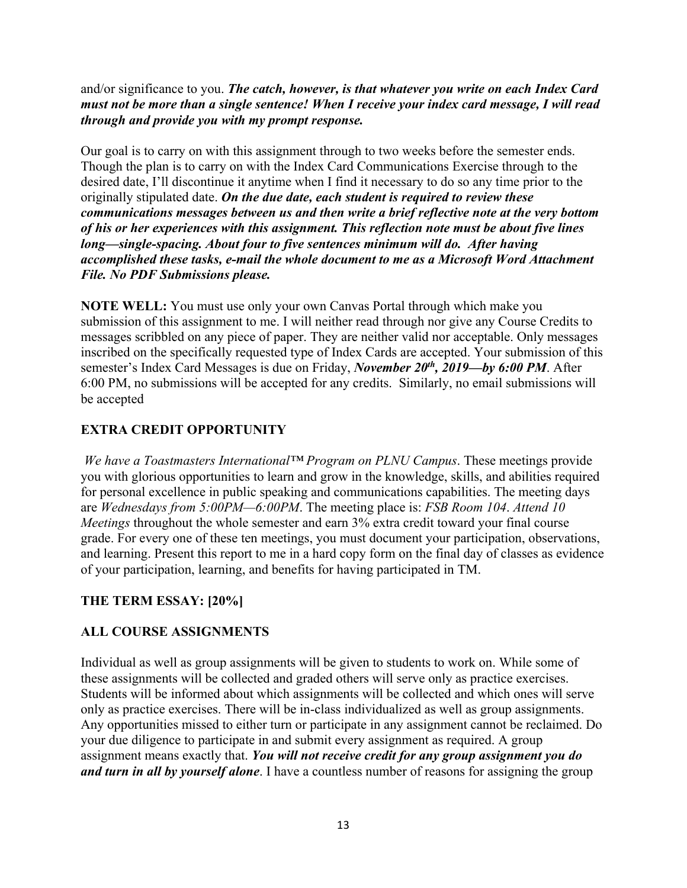and/or significance to you. *The catch, however, is that whatever you write on each Index Card must not be more than a single sentence! When I receive your index card message, I will read through and provide you with my prompt response.*

Our goal is to carry on with this assignment through to two weeks before the semester ends. Though the plan is to carry on with the Index Card Communications Exercise through to the desired date, I'll discontinue it anytime when I find it necessary to do so any time prior to the originally stipulated date. *On the due date, each student is required to review these communications messages between us and then write a brief reflective note at the very bottom of his or her experiences with this assignment. This reflection note must be about five lines long—single-spacing. About four to five sentences minimum will do. After having accomplished these tasks, e-mail the whole document to me as a Microsoft Word Attachment File. No PDF Submissions please.*

**NOTE WELL:** You must use only your own Canvas Portal through which make you submission of this assignment to me. I will neither read through nor give any Course Credits to messages scribbled on any piece of paper. They are neither valid nor acceptable. Only messages inscribed on the specifically requested type of Index Cards are accepted. Your submission of this semester's Index Card Messages is due on Friday, *November 20th, 2019—by 6:00 PM*. After 6:00 PM, no submissions will be accepted for any credits. Similarly, no email submissions will be accepted

# **EXTRA CREDIT OPPORTUNITY**

*We have a Toastmasters International™ Program on PLNU Campus*. These meetings provide you with glorious opportunities to learn and grow in the knowledge, skills, and abilities required for personal excellence in public speaking and communications capabilities. The meeting days are *Wednesdays from 5:00PM—6:00PM*. The meeting place is: *FSB Room 104*. *Attend 10 Meetings* throughout the whole semester and earn 3% extra credit toward your final course grade. For every one of these ten meetings, you must document your participation, observations, and learning. Present this report to me in a hard copy form on the final day of classes as evidence of your participation, learning, and benefits for having participated in TM.

# **THE TERM ESSAY: [20%]**

# **ALL COURSE ASSIGNMENTS**

Individual as well as group assignments will be given to students to work on. While some of these assignments will be collected and graded others will serve only as practice exercises. Students will be informed about which assignments will be collected and which ones will serve only as practice exercises. There will be in-class individualized as well as group assignments. Any opportunities missed to either turn or participate in any assignment cannot be reclaimed. Do your due diligence to participate in and submit every assignment as required. A group assignment means exactly that. *You will not receive credit for any group assignment you do and turn in all by yourself alone*. I have a countless number of reasons for assigning the group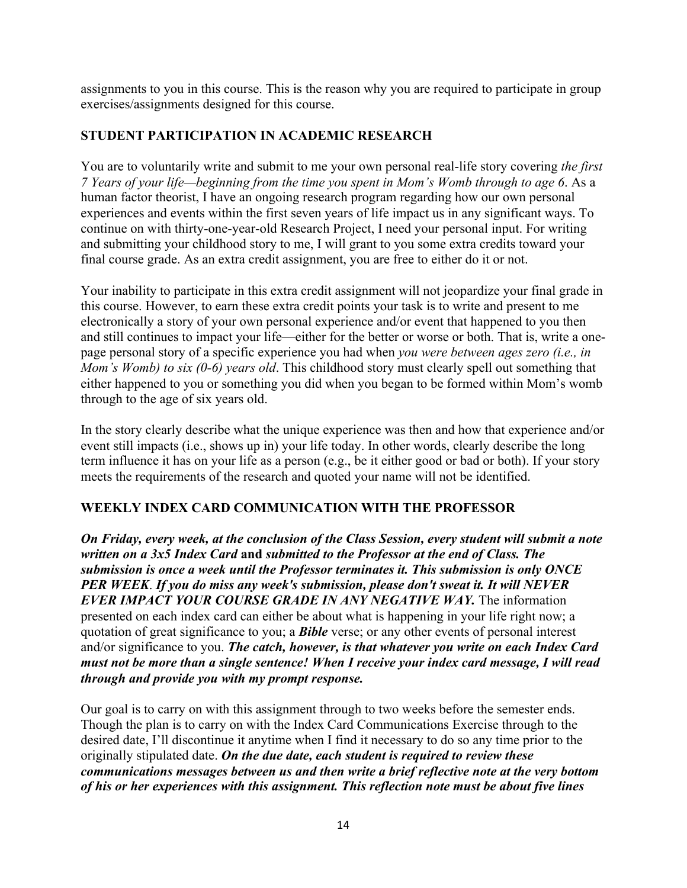assignments to you in this course. This is the reason why you are required to participate in group exercises/assignments designed for this course.

# **STUDENT PARTICIPATION IN ACADEMIC RESEARCH**

You are to voluntarily write and submit to me your own personal real-life story covering *the first 7 Years of your life—beginning from the time you spent in Mom's Womb through to age 6*. As a human factor theorist, I have an ongoing research program regarding how our own personal experiences and events within the first seven years of life impact us in any significant ways. To continue on with thirty-one-year-old Research Project, I need your personal input. For writing and submitting your childhood story to me, I will grant to you some extra credits toward your final course grade. As an extra credit assignment, you are free to either do it or not.

Your inability to participate in this extra credit assignment will not jeopardize your final grade in this course. However, to earn these extra credit points your task is to write and present to me electronically a story of your own personal experience and/or event that happened to you then and still continues to impact your life—either for the better or worse or both. That is, write a onepage personal story of a specific experience you had when *you were between ages zero (i.e., in Mom's Womb) to six (0-6) years old*. This childhood story must clearly spell out something that either happened to you or something you did when you began to be formed within Mom's womb through to the age of six years old.

In the story clearly describe what the unique experience was then and how that experience and/or event still impacts (i.e., shows up in) your life today. In other words, clearly describe the long term influence it has on your life as a person (e.g., be it either good or bad or both). If your story meets the requirements of the research and quoted your name will not be identified.

# **WEEKLY INDEX CARD COMMUNICATION WITH THE PROFESSOR**

*On Friday, every week, at the conclusion of the Class Session, every student will submit a note written on a 3x5 Index Card* **and** *submitted to the Professor at the end of Class. The submission is once a week until the Professor terminates it. This submission is only ONCE PER WEEK*. *If you do miss any week's submission, please don't sweat it. It will NEVER EVER IMPACT YOUR COURSE GRADE IN ANY NEGATIVE WAY.* The information presented on each index card can either be about what is happening in your life right now; a quotation of great significance to you; a *Bible* verse; or any other events of personal interest and/or significance to you. *The catch, however, is that whatever you write on each Index Card must not be more than a single sentence! When I receive your index card message, I will read through and provide you with my prompt response.*

Our goal is to carry on with this assignment through to two weeks before the semester ends. Though the plan is to carry on with the Index Card Communications Exercise through to the desired date, I'll discontinue it anytime when I find it necessary to do so any time prior to the originally stipulated date. *On the due date, each student is required to review these communications messages between us and then write a brief reflective note at the very bottom of his or her experiences with this assignment. This reflection note must be about five lines*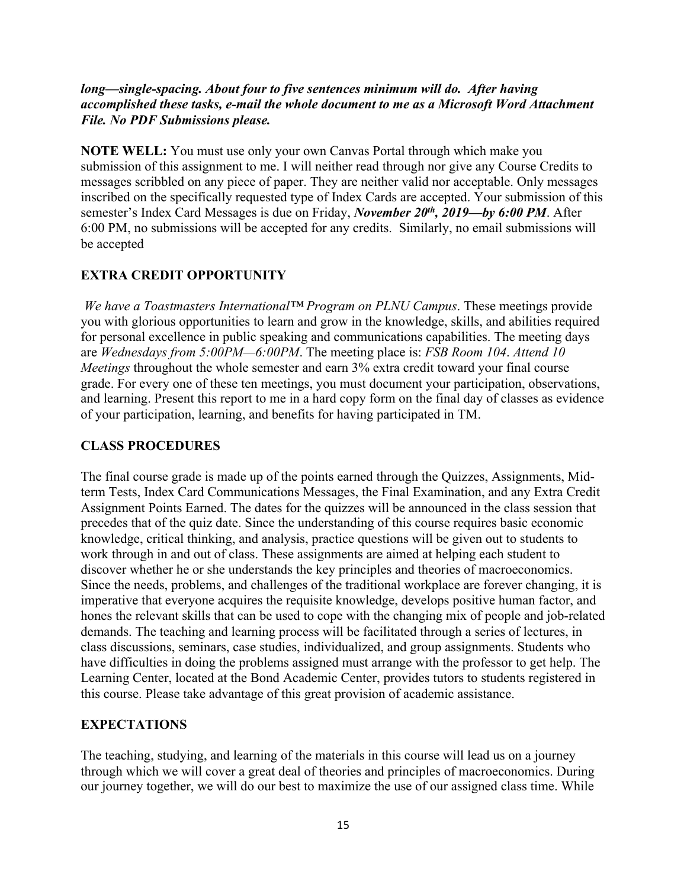### *long—single-spacing. About four to five sentences minimum will do. After having accomplished these tasks, e-mail the whole document to me as a Microsoft Word Attachment File. No PDF Submissions please.*

**NOTE WELL:** You must use only your own Canvas Portal through which make you submission of this assignment to me. I will neither read through nor give any Course Credits to messages scribbled on any piece of paper. They are neither valid nor acceptable. Only messages inscribed on the specifically requested type of Index Cards are accepted. Your submission of this semester's Index Card Messages is due on Friday, *November 20th, 2019—by 6:00 PM*. After 6:00 PM, no submissions will be accepted for any credits. Similarly, no email submissions will be accepted

# **EXTRA CREDIT OPPORTUNITY**

*We have a Toastmasters International™ Program on PLNU Campus*. These meetings provide you with glorious opportunities to learn and grow in the knowledge, skills, and abilities required for personal excellence in public speaking and communications capabilities. The meeting days are *Wednesdays from 5:00PM—6:00PM*. The meeting place is: *FSB Room 104*. *Attend 10 Meetings* throughout the whole semester and earn 3% extra credit toward your final course grade. For every one of these ten meetings, you must document your participation, observations, and learning. Present this report to me in a hard copy form on the final day of classes as evidence of your participation, learning, and benefits for having participated in TM.

# **CLASS PROCEDURES**

The final course grade is made up of the points earned through the Quizzes, Assignments, Midterm Tests, Index Card Communications Messages, the Final Examination, and any Extra Credit Assignment Points Earned. The dates for the quizzes will be announced in the class session that precedes that of the quiz date. Since the understanding of this course requires basic economic knowledge, critical thinking, and analysis, practice questions will be given out to students to work through in and out of class. These assignments are aimed at helping each student to discover whether he or she understands the key principles and theories of macroeconomics. Since the needs, problems, and challenges of the traditional workplace are forever changing, it is imperative that everyone acquires the requisite knowledge, develops positive human factor, and hones the relevant skills that can be used to cope with the changing mix of people and job-related demands. The teaching and learning process will be facilitated through a series of lectures, in class discussions, seminars, case studies, individualized, and group assignments. Students who have difficulties in doing the problems assigned must arrange with the professor to get help. The Learning Center, located at the Bond Academic Center, provides tutors to students registered in this course. Please take advantage of this great provision of academic assistance.

# **EXPECTATIONS**

The teaching, studying, and learning of the materials in this course will lead us on a journey through which we will cover a great deal of theories and principles of macroeconomics. During our journey together, we will do our best to maximize the use of our assigned class time. While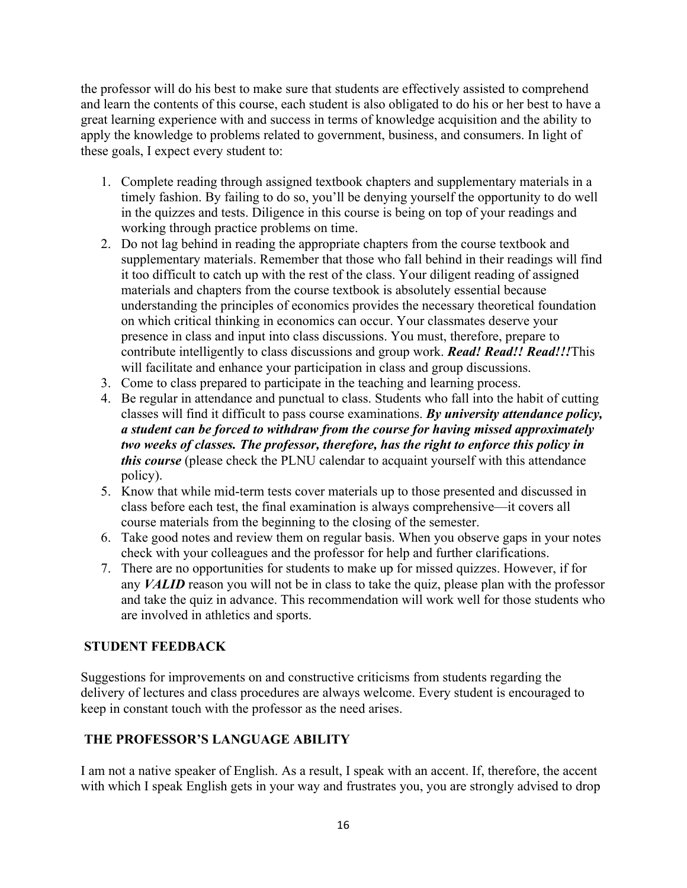the professor will do his best to make sure that students are effectively assisted to comprehend and learn the contents of this course, each student is also obligated to do his or her best to have a great learning experience with and success in terms of knowledge acquisition and the ability to apply the knowledge to problems related to government, business, and consumers. In light of these goals, I expect every student to:

- 1. Complete reading through assigned textbook chapters and supplementary materials in a timely fashion. By failing to do so, you'll be denying yourself the opportunity to do well in the quizzes and tests. Diligence in this course is being on top of your readings and working through practice problems on time.
- 2. Do not lag behind in reading the appropriate chapters from the course textbook and supplementary materials. Remember that those who fall behind in their readings will find it too difficult to catch up with the rest of the class. Your diligent reading of assigned materials and chapters from the course textbook is absolutely essential because understanding the principles of economics provides the necessary theoretical foundation on which critical thinking in economics can occur. Your classmates deserve your presence in class and input into class discussions. You must, therefore, prepare to contribute intelligently to class discussions and group work. *Read! Read!! Read!!!*This will facilitate and enhance your participation in class and group discussions.
- 3. Come to class prepared to participate in the teaching and learning process.
- 4. Be regular in attendance and punctual to class. Students who fall into the habit of cutting classes will find it difficult to pass course examinations. *By university attendance policy, a student can be forced to withdraw from the course for having missed approximately two weeks of classes. The professor, therefore, has the right to enforce this policy in this course* (please check the PLNU calendar to acquaint yourself with this attendance policy).
- 5. Know that while mid-term tests cover materials up to those presented and discussed in class before each test, the final examination is always comprehensive—it covers all course materials from the beginning to the closing of the semester.
- 6. Take good notes and review them on regular basis. When you observe gaps in your notes check with your colleagues and the professor for help and further clarifications.
- 7. There are no opportunities for students to make up for missed quizzes. However, if for any *VALID* reason you will not be in class to take the quiz, please plan with the professor and take the quiz in advance. This recommendation will work well for those students who are involved in athletics and sports.

# **STUDENT FEEDBACK**

Suggestions for improvements on and constructive criticisms from students regarding the delivery of lectures and class procedures are always welcome. Every student is encouraged to keep in constant touch with the professor as the need arises.

# **THE PROFESSOR'S LANGUAGE ABILITY**

I am not a native speaker of English. As a result, I speak with an accent. If, therefore, the accent with which I speak English gets in your way and frustrates you, you are strongly advised to drop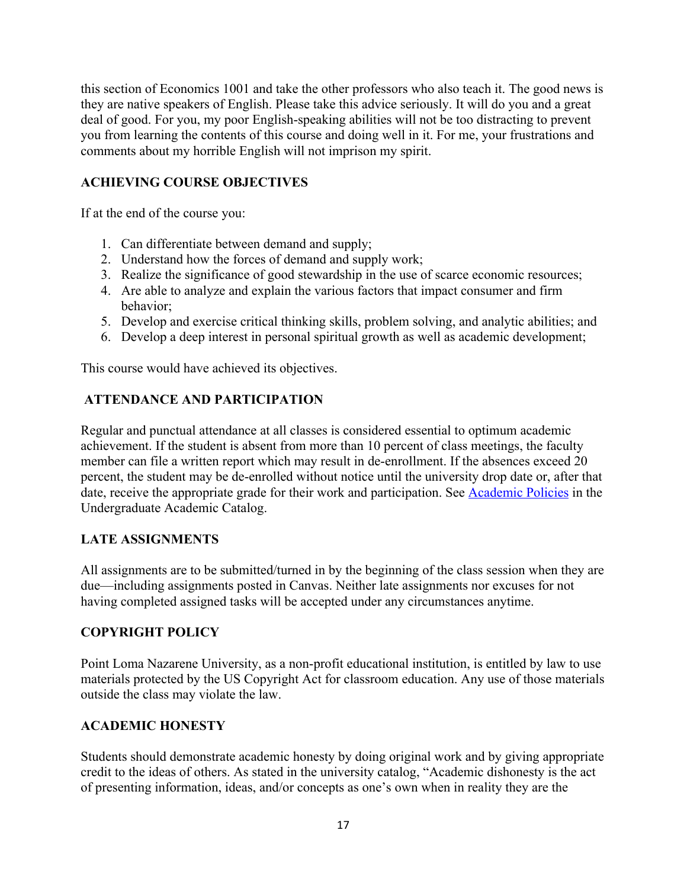this section of Economics 1001 and take the other professors who also teach it. The good news is they are native speakers of English. Please take this advice seriously. It will do you and a great deal of good. For you, my poor English-speaking abilities will not be too distracting to prevent you from learning the contents of this course and doing well in it. For me, your frustrations and comments about my horrible English will not imprison my spirit.

# **ACHIEVING COURSE OBJECTIVES**

If at the end of the course you:

- 1. Can differentiate between demand and supply;
- 2. Understand how the forces of demand and supply work;
- 3. Realize the significance of good stewardship in the use of scarce economic resources;
- 4. Are able to analyze and explain the various factors that impact consumer and firm behavior;
- 5. Develop and exercise critical thinking skills, problem solving, and analytic abilities; and
- 6. Develop a deep interest in personal spiritual growth as well as academic development;

This course would have achieved its objectives.

### **ATTENDANCE AND PARTICIPATION**

Regular and punctual attendance at all classes is considered essential to optimum academic achievement. If the student is absent from more than 10 percent of class meetings, the faculty member can file a written report which may result in de-enrollment. If the absences exceed 20 percent, the student may be de-enrolled without notice until the university drop date or, after that date, receive the appropriate grade for their work and participation. See Academic Policies in the Undergraduate Academic Catalog.

### **LATE ASSIGNMENTS**

All assignments are to be submitted/turned in by the beginning of the class session when they are due—including assignments posted in Canvas. Neither late assignments nor excuses for not having completed assigned tasks will be accepted under any circumstances anytime.

# **COPYRIGHT POLICY**

Point Loma Nazarene University, as a non-profit educational institution, is entitled by law to use materials protected by the US Copyright Act for classroom education. Any use of those materials outside the class may violate the law.

### **ACADEMIC HONESTY**

Students should demonstrate academic honesty by doing original work and by giving appropriate credit to the ideas of others. As stated in the university catalog, "Academic dishonesty is the act of presenting information, ideas, and/or concepts as one's own when in reality they are the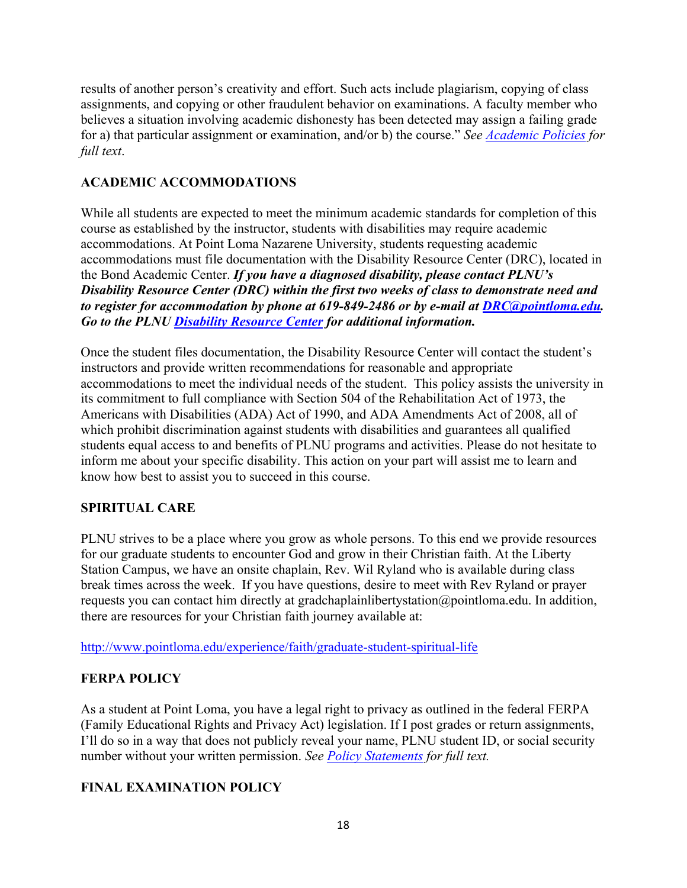results of another person's creativity and effort. Such acts include plagiarism, copying of class assignments, and copying or other fraudulent behavior on examinations. A faculty member who believes a situation involving academic dishonesty has been detected may assign a failing grade for a) that particular assignment or examination, and/or b) the course." *See Academic Policies for full text*.

# **ACADEMIC ACCOMMODATIONS**

While all students are expected to meet the minimum academic standards for completion of this course as established by the instructor, students with disabilities may require academic accommodations. At Point Loma Nazarene University, students requesting academic accommodations must file documentation with the Disability Resource Center (DRC), located in the Bond Academic Center. *If you have a diagnosed disability, please contact PLNU's Disability Resource Center (DRC) within the first two weeks of class to demonstrate need and to register for accommodation by phone at 619-849-2486 or by e-mail at DRC@pointloma.edu. Go to the PLNU Disability Resource Center for additional information.*

Once the student files documentation, the Disability Resource Center will contact the student's instructors and provide written recommendations for reasonable and appropriate accommodations to meet the individual needs of the student. This policy assists the university in its commitment to full compliance with Section 504 of the Rehabilitation Act of 1973, the Americans with Disabilities (ADA) Act of 1990, and ADA Amendments Act of 2008, all of which prohibit discrimination against students with disabilities and guarantees all qualified students equal access to and benefits of PLNU programs and activities. Please do not hesitate to inform me about your specific disability. This action on your part will assist me to learn and know how best to assist you to succeed in this course.

# **SPIRITUAL CARE**

PLNU strives to be a place where you grow as whole persons. To this end we provide resources for our graduate students to encounter God and grow in their Christian faith. At the Liberty Station Campus, we have an onsite chaplain, Rev. Wil Ryland who is available during class break times across the week. If you have questions, desire to meet with Rev Ryland or prayer requests you can contact him directly at gradchaplainlibertystation@pointloma.edu. In addition, there are resources for your Christian faith journey available at:

http://www.pointloma.edu/experience/faith/graduate-student-spiritual-life

# **FERPA POLICY**

As a student at Point Loma, you have a legal right to privacy as outlined in the federal FERPA (Family Educational Rights and Privacy Act) legislation. If I post grades or return assignments, I'll do so in a way that does not publicly reveal your name, PLNU student ID, or social security number without your written permission. *See Policy Statements for full text.*

# **FINAL EXAMINATION POLICY**